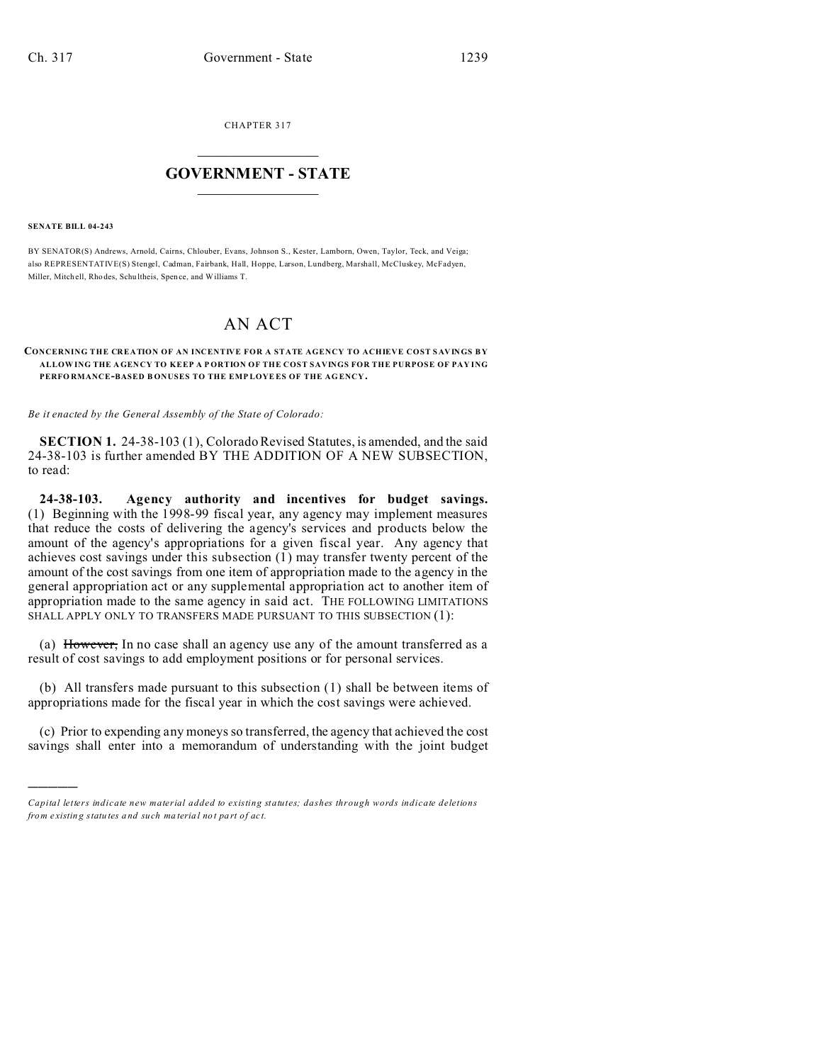CHAPTER 317  $\overline{\phantom{a}}$  , where  $\overline{\phantom{a}}$ 

## **GOVERNMENT - STATE**  $\_$   $\_$

## **SENATE BILL 04-243**

)))))

BY SENATOR(S) Andrews, Arnold, Cairns, Chlouber, Evans, Johnson S., Kester, Lamborn, Owen, Taylor, Teck, and Veiga; also REPRESENTATIVE(S) Stengel, Cadman, Fairbank, Hall, Hoppe, Larson, Lundberg, Marshall, McCluskey, McFadyen, Miller, Mitch ell, Rho des, Schu ltheis, Spence, and Williams T.

## AN ACT

## **CONCERNING THE CREATION OF AN INCENTIVE FOR A STATE AGENCY TO ACHIEVE COST SAV IN GS BY ALLOWING THE AGEN CY TO KEEP A P ORTION OF THE COST SAVINGS FOR THE PURPOSE OF PAY ING PERFO RMANCE-BASED B ONUSES TO THE EMP LOYEES OF THE AG ENCY.**

*Be it enacted by the General Assembly of the State of Colorado:*

**SECTION 1.** 24-38-103 (1), Colorado Revised Statutes, is amended, and the said 24-38-103 is further amended BY THE ADDITION OF A NEW SUBSECTION, to read:

**24-38-103. Agency authority and incentives for budget savings.** (1) Beginning with the 1998-99 fiscal year, any agency may implement measures that reduce the costs of delivering the agency's services and products below the amount of the agency's appropriations for a given fiscal year. Any agency that achieves cost savings under this subsection (1) may transfer twenty percent of the amount of the cost savings from one item of appropriation made to the agency in the general appropriation act or any supplemental appropriation act to another item of appropriation made to the same agency in said act. THE FOLLOWING LIMITATIONS SHALL APPLY ONLY TO TRANSFERS MADE PURSUANT TO THIS SUBSECTION (1):

(a) However, In no case shall an agency use any of the amount transferred as a result of cost savings to add employment positions or for personal services.

(b) All transfers made pursuant to this subsection (1) shall be between items of appropriations made for the fiscal year in which the cost savings were achieved.

(c) Prior to expending any moneys so transferred, the agency that achieved the cost savings shall enter into a memorandum of understanding with the joint budget

*Capital letters indicate new material added to existing statutes; dashes through words indicate deletions from e xistin g statu tes a nd such ma teria l no t pa rt of ac t.*